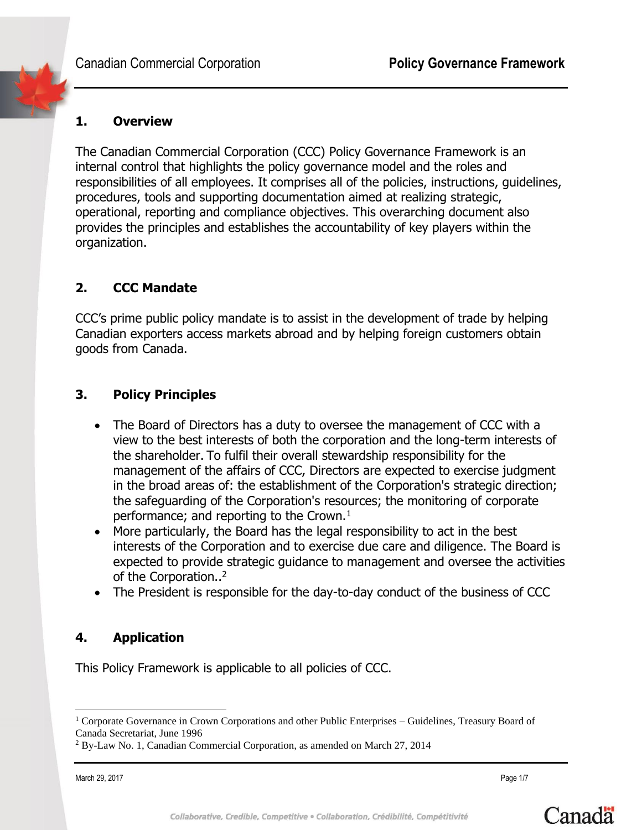## **1. Overview**

The Canadian Commercial Corporation (CCC) Policy Governance Framework is an internal control that highlights the policy governance model and the roles and responsibilities of all employees. It comprises all of the policies, instructions, guidelines, procedures, tools and supporting documentation aimed at realizing strategic, operational, reporting and compliance objectives. This overarching document also provides the principles and establishes the accountability of key players within the organization.

## **2. CCC Mandate**

CCC's prime public policy mandate is to assist in the development of trade by helping Canadian exporters access markets abroad and by helping foreign customers obtain goods from Canada.

## **3. Policy Principles**

- The Board of Directors has a duty to oversee the management of CCC with a view to the best interests of both the corporation and the long-term interests of the shareholder. To fulfil their overall stewardship responsibility for the management of the affairs of CCC, Directors are expected to exercise judgment in the broad areas of: the establishment of the Corporation's strategic direction; the safeguarding of the Corporation's resources; the monitoring of corporate performance; and reporting to the Crown. $<sup>1</sup>$ </sup>
- More particularly, the Board has the legal responsibility to act in the best interests of the Corporation and to exercise due care and diligence. The Board is expected to provide strategic guidance to management and oversee the activities of the Corporation..<sup>2</sup>
- The President is responsible for the day-to-day conduct of the business of CCC

# **4. Application**

This Policy Framework is applicable to all policies of CCC.

 $\overline{a}$ 



<sup>1</sup> Corporate Governance in Crown Corporations and other Public Enterprises – Guidelines, Treasury Board of Canada Secretariat, June 1996

<sup>2</sup> By-Law No. 1, Canadian Commercial Corporation, as amended on March 27, 2014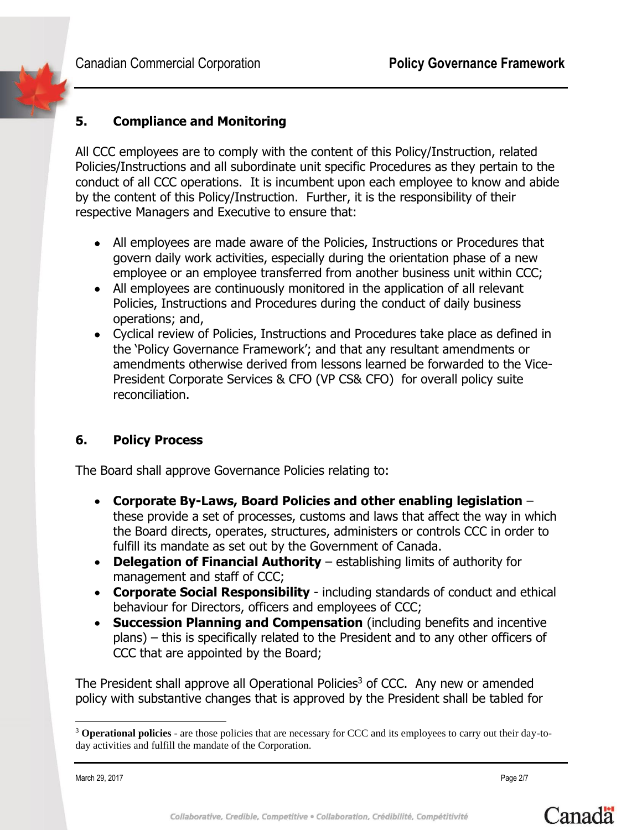# **5. Compliance and Monitoring**

All CCC employees are to comply with the content of this Policy/Instruction, related Policies/Instructions and all subordinate unit specific Procedures as they pertain to the conduct of all CCC operations. It is incumbent upon each employee to know and abide by the content of this Policy/Instruction. Further, it is the responsibility of their respective Managers and Executive to ensure that:

- All employees are made aware of the Policies, Instructions or Procedures that govern daily work activities, especially during the orientation phase of a new employee or an employee transferred from another business unit within CCC;
- All employees are continuously monitored in the application of all relevant Policies, Instructions and Procedures during the conduct of daily business operations; and,
- Cyclical review of Policies, Instructions and Procedures take place as defined in the 'Policy Governance Framework'; and that any resultant amendments or amendments otherwise derived from lessons learned be forwarded to the Vice-President Corporate Services & CFO (VP CS& CFO) for overall policy suite reconciliation.

## **6. Policy Process**

The Board shall approve Governance Policies relating to:

- **Corporate By-Laws, Board Policies and other enabling legislation** these provide a set of processes, customs and laws that affect the way in which the Board directs, operates, structures, administers or controls CCC in order to fulfill its mandate as set out by the Government of Canada.
- **Delegation of Financial Authority** establishing limits of authority for management and staff of CCC;
- **Corporate Social Responsibility** including standards of conduct and ethical behaviour for Directors, officers and employees of CCC;
- **Succession Planning and Compensation** (including benefits and incentive plans) – this is specifically related to the President and to any other officers of CCC that are appointed by the Board;

The President shall approve all Operational Policies<sup>3</sup> of CCC. Any new or amended policy with substantive changes that is approved by the President shall be tabled for

March 29, 2017 Page 2/7

 $\overline{a}$ 



<sup>3</sup> **Operational policies** - are those policies that are necessary for CCC and its employees to carry out their day-today activities and fulfill the mandate of the Corporation.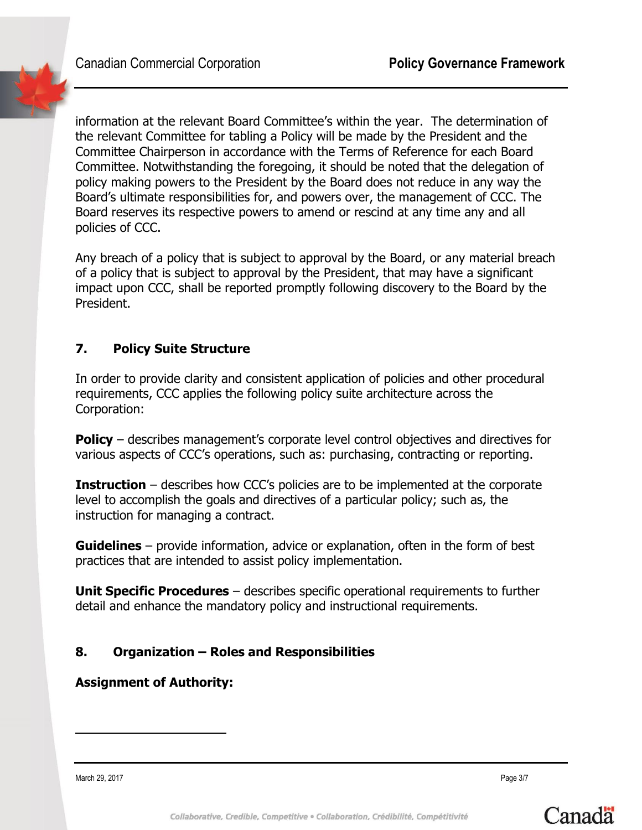**Canadian Commercial Corporation Policy Governance Framework** 

information at the relevant Board Committee's within the year. The determination of the relevant Committee for tabling a Policy will be made by the President and the Committee Chairperson in accordance with the Terms of Reference for each Board Committee. Notwithstanding the foregoing, it should be noted that the delegation of policy making powers to the President by the Board does not reduce in any way the Board's ultimate responsibilities for, and powers over, the management of CCC. The Board reserves its respective powers to amend or rescind at any time any and all policies of CCC.

Any breach of a policy that is subject to approval by the Board, or any material breach of a policy that is subject to approval by the President, that may have a significant impact upon CCC, shall be reported promptly following discovery to the Board by the President.

## **7. Policy Suite Structure**

In order to provide clarity and consistent application of policies and other procedural requirements, CCC applies the following policy suite architecture across the Corporation:

**Policy** – describes management's corporate level control objectives and directives for various aspects of CCC's operations, such as: purchasing, contracting or reporting.

**Instruction** – describes how CCC's policies are to be implemented at the corporate level to accomplish the goals and directives of a particular policy; such as, the instruction for managing a contract.

**Guidelines** – provide information, advice or explanation, often in the form of best practices that are intended to assist policy implementation.

**Unit Specific Procedures** – describes specific operational requirements to further detail and enhance the mandatory policy and instructional requirements.

# **8. Organization – Roles and Responsibilities**

## **Assignment of Authority:**

March 29, 2017 Page 3/7

 $\overline{a}$ 

Canada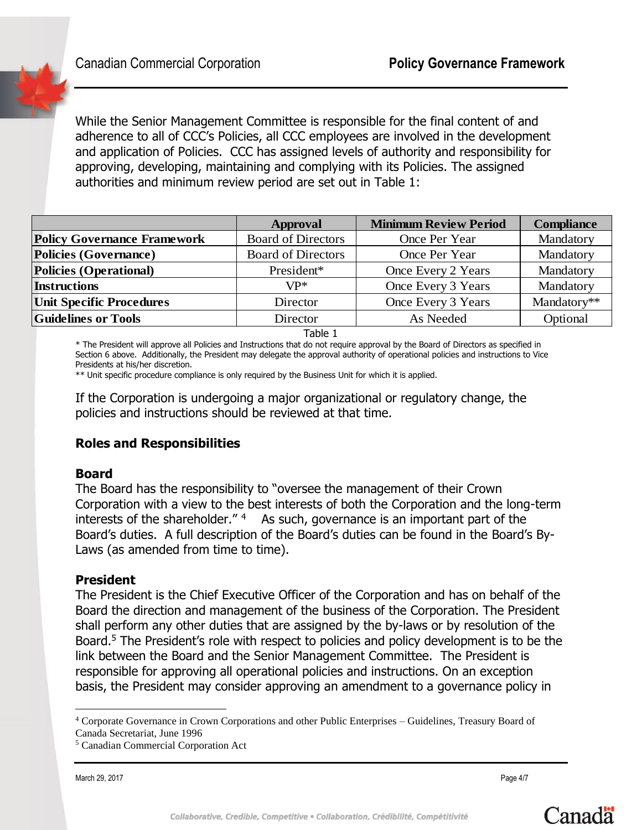

While the Senior Management Committee is responsible for the final content of and adherence to all of CCC's Policies, all CCC employees are involved in the development and application of Policies. CCC has assigned levels of authority and responsibility for approving, developing, maintaining and complying with its Policies. The assigned authorities and minimum review period are set out in Table 1:

|                                    | Approval                  | <b>Minimum Review Period</b> | <b>Compliance</b> |
|------------------------------------|---------------------------|------------------------------|-------------------|
| <b>Policy Governance Framework</b> | <b>Board of Directors</b> | Once Per Year                | Mandatory         |
| Policies (Governance)              | <b>Board of Directors</b> | Once Per Year                | Mandatory         |
| Policies (Operational)             | President*                | Once Every 2 Years           | Mandatory         |
| <b>Instructions</b>                | $VP^*$                    | Once Every 3 Years           | Mandatory         |
| <b>Unit Specific Procedures</b>    | Director                  | Once Every 3 Years           | Mandatory**       |
| <b>Guidelines or Tools</b>         | Director                  | As Needed                    | Optional          |

Table 1

\* The President will approve all Policies and Instructions that do not require approval by the Board of Directors as specified in Section 6 above. Additionally, the President may delegate the approval authority of operational policies and instructions to Vice Presidents at his/her discretion.

\*\* Unit specific procedure compliance is only required by the Business Unit for which it is applied.

If the Corporation is undergoing a major organizational or regulatory change, the policies and instructions should be reviewed at that time.

## **Roles and Responsibilities**

#### **Board**

The Board has the responsibility to "oversee the management of their Crown Corporation with a view to the best interests of both the Corporation and the long-term interests of the shareholder."<sup>4</sup> As such, governance is an important part of the Board's duties. A full description of the Board's duties can be found in the Board's By-Laws (as amended from time to time).

#### **President**

The President is the Chief Executive Officer of the Corporation and has on behalf of the Board the direction and management of the business of the Corporation. The President shall perform any other duties that are assigned by the by-laws or by resolution of the Board.<sup>5</sup> The President's role with respect to policies and policy development is to be the link between the Board and the Senior Management Committee. The President is responsible for approving all operational policies and instructions. On an exception basis, the President may consider approving an amendment to a governance policy in

March 29, 2017 Page 4/7

 $\overline{a}$ 



<sup>4</sup> Corporate Governance in Crown Corporations and other Public Enterprises – Guidelines, Treasury Board of Canada Secretariat, June 1996

<sup>5</sup> Canadian Commercial Corporation Act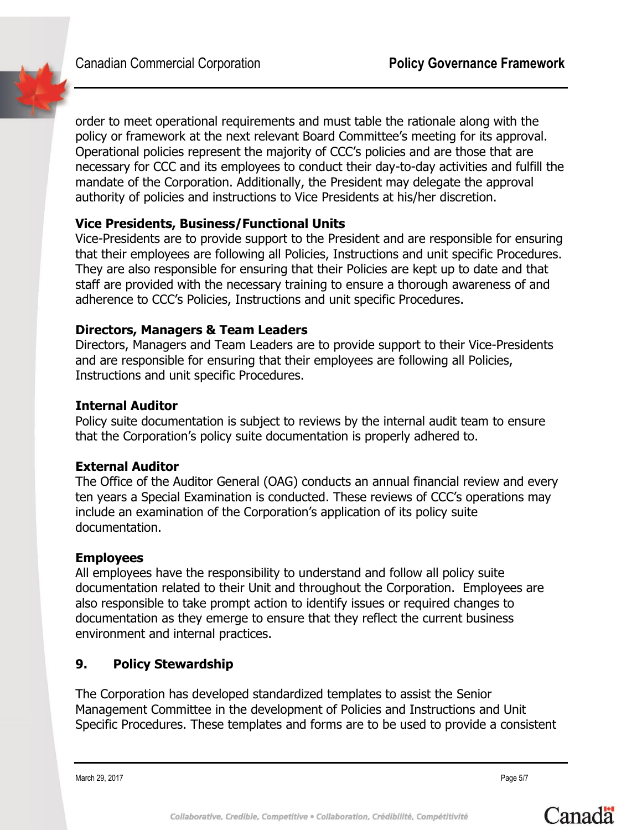**Canadian Commercial Corporation Policy Governance Framework** 

order to meet operational requirements and must table the rationale along with the policy or framework at the next relevant Board Committee's meeting for its approval. Operational policies represent the majority of CCC's policies and are those that are necessary for CCC and its employees to conduct their day-to-day activities and fulfill the mandate of the Corporation. Additionally, the President may delegate the approval authority of policies and instructions to Vice Presidents at his/her discretion.

## **Vice Presidents, Business/Functional Units**

Vice-Presidents are to provide support to the President and are responsible for ensuring that their employees are following all Policies, Instructions and unit specific Procedures. They are also responsible for ensuring that their Policies are kept up to date and that staff are provided with the necessary training to ensure a thorough awareness of and adherence to CCC's Policies, Instructions and unit specific Procedures.

## **Directors, Managers & Team Leaders**

Directors, Managers and Team Leaders are to provide support to their Vice-Presidents and are responsible for ensuring that their employees are following all Policies, Instructions and unit specific Procedures.

## **Internal Auditor**

Policy suite documentation is subject to reviews by the internal audit team to ensure that the Corporation's policy suite documentation is properly adhered to.

# **External Auditor**

The Office of the Auditor General (OAG) conducts an annual financial review and every ten years a Special Examination is conducted. These reviews of CCC's operations may include an examination of the Corporation's application of its policy suite documentation.

## **Employees**

All employees have the responsibility to understand and follow all policy suite documentation related to their Unit and throughout the Corporation. Employees are also responsible to take prompt action to identify issues or required changes to documentation as they emerge to ensure that they reflect the current business environment and internal practices.

# **9. Policy Stewardship**

The Corporation has developed standardized templates to assist the Senior Management Committee in the development of Policies and Instructions and Unit Specific Procedures. These templates and forms are to be used to provide a consistent

March 29, 2017 Page 5/7

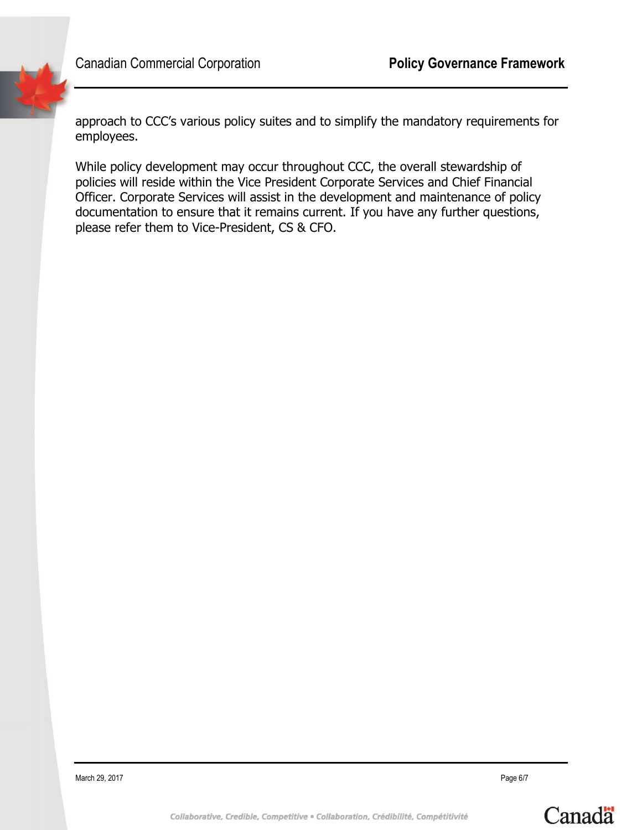approach to CCC's various policy suites and to simplify the mandatory requirements for employees.

While policy development may occur throughout CCC, the overall stewardship of policies will reside within the Vice President Corporate Services and Chief Financial Officer. Corporate Services will assist in the development and maintenance of policy documentation to ensure that it remains current. If you have any further questions, please refer them to Vice-President, CS & CFO.

March 29, 2017 Page 6/7